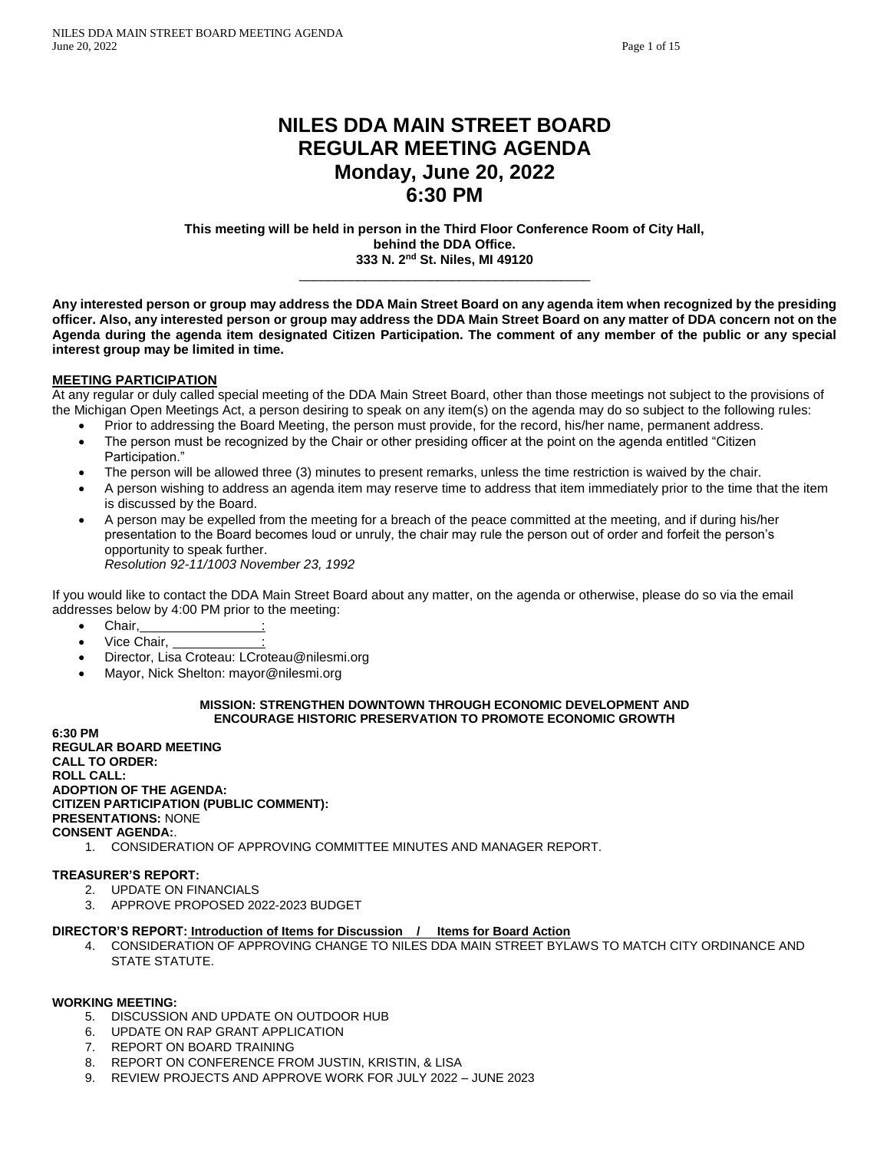# **NILES DDA MAIN STREET BOARD REGULAR MEETING AGENDA Monday, June 20, 2022 6:30 PM**

**This meeting will be held in person in the Third Floor Conference Room of City Hall, behind the DDA Office. 333 N. 2nd St. Niles, MI 49120**

\_\_\_\_\_\_\_\_\_\_\_\_\_\_\_\_\_\_\_\_\_\_\_\_\_\_\_\_\_\_\_\_\_\_\_\_\_\_\_\_

**Any interested person or group may address the DDA Main Street Board on any agenda item when recognized by the presiding officer. Also, any interested person or group may address the DDA Main Street Board on any matter of DDA concern not on the Agenda during the agenda item designated Citizen Participation. The comment of any member of the public or any special interest group may be limited in time.** 

### **MEETING PARTICIPATION**

At any regular or duly called special meeting of the DDA Main Street Board, other than those meetings not subject to the provisions of the Michigan Open Meetings Act, a person desiring to speak on any item(s) on the agenda may do so subject to the following rules:

- Prior to addressing the Board Meeting, the person must provide, for the record, his/her name, permanent address.
- The person must be recognized by the Chair or other presiding officer at the point on the agenda entitled "Citizen Participation."
- The person will be allowed three (3) minutes to present remarks, unless the time restriction is waived by the chair.
- A person wishing to address an agenda item may reserve time to address that item immediately prior to the time that the item is discussed by the Board.
- A person may be expelled from the meeting for a breach of the peace committed at the meeting, and if during his/her presentation to the Board becomes loud or unruly, the chair may rule the person out of order and forfeit the person's opportunity to speak further. *Resolution 92-11/1003 November 23, 1992*

If you would like to contact the DDA Main Street Board about any matter, on the agenda or otherwise, please do so via the email addresses below by 4:00 PM prior to the meeting:

- Chair,
- Vice Chair.
- Director, Lisa Croteau: LCroteau@nilesmi.org
- Mayor, Nick Shelton: mayor@nilesmi.org

#### **MISSION: STRENGTHEN DOWNTOWN THROUGH ECONOMIC DEVELOPMENT AND ENCOURAGE HISTORIC PRESERVATION TO PROMOTE ECONOMIC GROWTH**

**6:30 PM REGULAR BOARD MEETING CALL TO ORDER: ROLL CALL: ADOPTION OF THE AGENDA: CITIZEN PARTICIPATION (PUBLIC COMMENT): PRESENTATIONS:** NONE **CONSENT AGENDA:**.

1. CONSIDERATION OF APPROVING COMMITTEE MINUTES AND MANAGER REPORT.

### **TREASURER'S REPORT:**

- 2. UPDATE ON FINANCIALS
- 3. APPROVE PROPOSED 2022-2023 BUDGET

#### **DIRECTOR'S REPORT: Introduction of Items for Discussion / Items for Board Action**

4. CONSIDERATION OF APPROVING CHANGE TO NILES DDA MAIN STREET BYLAWS TO MATCH CITY ORDINANCE AND STATE STATUTE.

#### **WORKING MEETING:**

- 5. DISCUSSION AND UPDATE ON OUTDOOR HUB
- 6. UPDATE ON RAP GRANT APPLICATION
- 7. REPORT ON BOARD TRAINING
- 8. REPORT ON CONFERENCE FROM JUSTIN, KRISTIN, & LISA
- 9. REVIEW PROJECTS AND APPROVE WORK FOR JULY 2022 JUNE 2023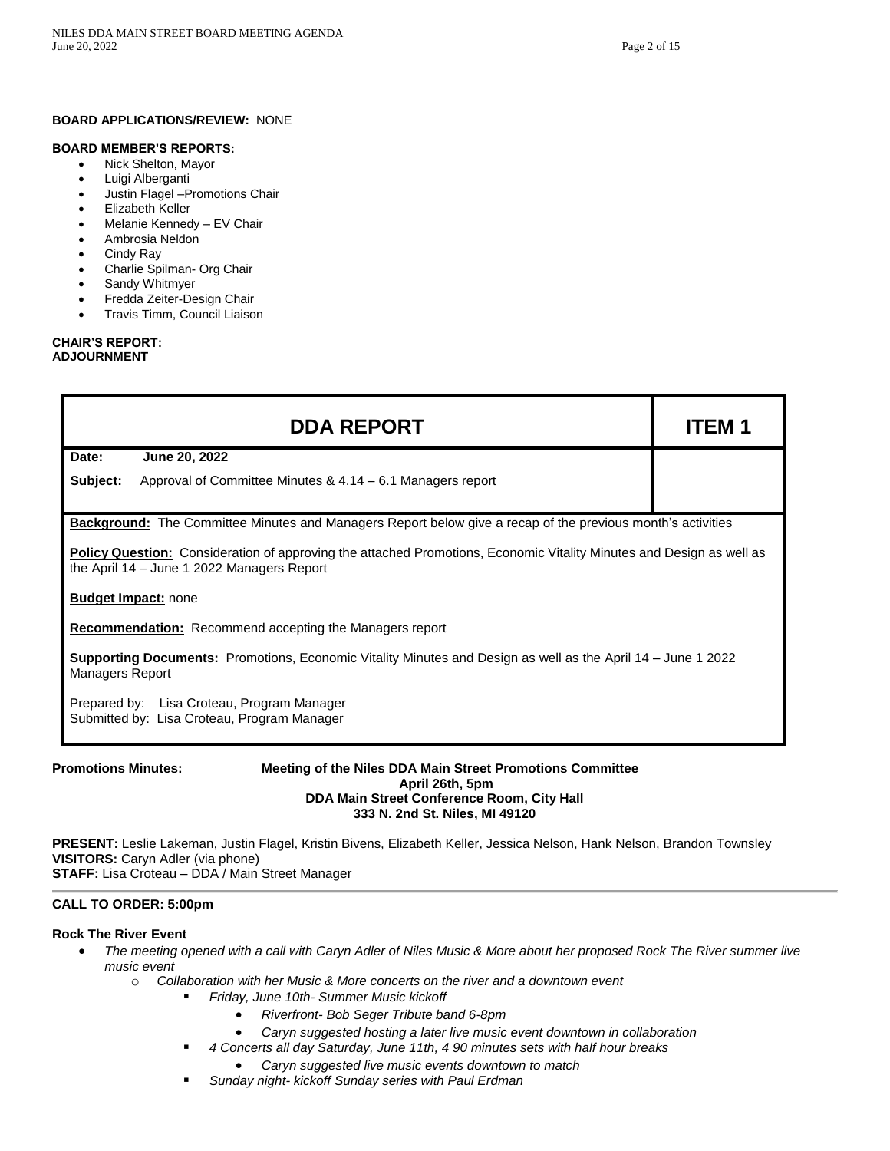#### **BOARD APPLICATIONS/REVIEW:** NONE

#### **BOARD MEMBER'S REPORTS:**

- Nick Shelton, Mayor
- Luigi Alberganti
- Justin Flagel –Promotions Chair
- Elizabeth Keller
- Melanie Kennedy EV Chair
- Ambrosia Neldon
- Cindy Ray
- Charlie Spilman- Org Chair
- Sandy Whitmyer
- Fredda Zeiter-Design Chair
- Travis Timm, Council Liaison

#### **CHAIR'S REPORT: ADJOURNMENT**

|                                                                                                                                                                    | <b>DDA REPORT</b>                                                                                                  | ITEM 1 |  |
|--------------------------------------------------------------------------------------------------------------------------------------------------------------------|--------------------------------------------------------------------------------------------------------------------|--------|--|
| Date:                                                                                                                                                              | June 20, 2022                                                                                                      |        |  |
| Subject:                                                                                                                                                           | Approval of Committee Minutes & 4.14 – 6.1 Managers report                                                         |        |  |
|                                                                                                                                                                    | <b>Background:</b> The Committee Minutes and Managers Report below give a recap of the previous month's activities |        |  |
| Policy Question: Consideration of approving the attached Promotions, Economic Vitality Minutes and Design as well as<br>the April 14 - June 1 2022 Managers Report |                                                                                                                    |        |  |
| <b>Budget Impact: none</b>                                                                                                                                         |                                                                                                                    |        |  |
| <b>Recommendation:</b> Recommend accepting the Managers report                                                                                                     |                                                                                                                    |        |  |
| <b>Supporting Documents:</b> Promotions, Economic Vitality Minutes and Design as well as the April 14 – June 1 2022<br><b>Managers Report</b>                      |                                                                                                                    |        |  |
|                                                                                                                                                                    | Prepared by: Lisa Croteau, Program Manager<br>Submitted by: Lisa Croteau, Program Manager                          |        |  |

### **Promotions Minutes: Meeting of the Niles DDA Main Street Promotions Committee April 26th, 5pm DDA Main Street Conference Room, City Hall 333 N. 2nd St. Niles, MI 49120**

**PRESENT:** Leslie Lakeman, Justin Flagel, Kristin Bivens, Elizabeth Keller, Jessica Nelson, Hank Nelson, Brandon Townsley **VISITORS:** Caryn Adler (via phone) **STAFF:** Lisa Croteau – DDA / Main Street Manager

### **CALL TO ORDER: 5:00pm**

### **Rock The River Event**

- *The meeting opened with a call with Caryn Adler of Niles Music & More about her proposed Rock The River summer live music event*
	- o *Collaboration with her Music & More concerts on the river and a downtown event*
		- *Friday, June 10th- Summer Music kickoff*
			- *Riverfront- Bob Seger Tribute band 6-8pm*
			- *Caryn suggested hosting a later live music event downtown in collaboration*
			- *4 Concerts all day Saturday, June 11th, 4 90 minutes sets with half hour breaks*
				- *Caryn suggested live music events downtown to match*
		- *Sunday night- kickoff Sunday series with Paul Erdman*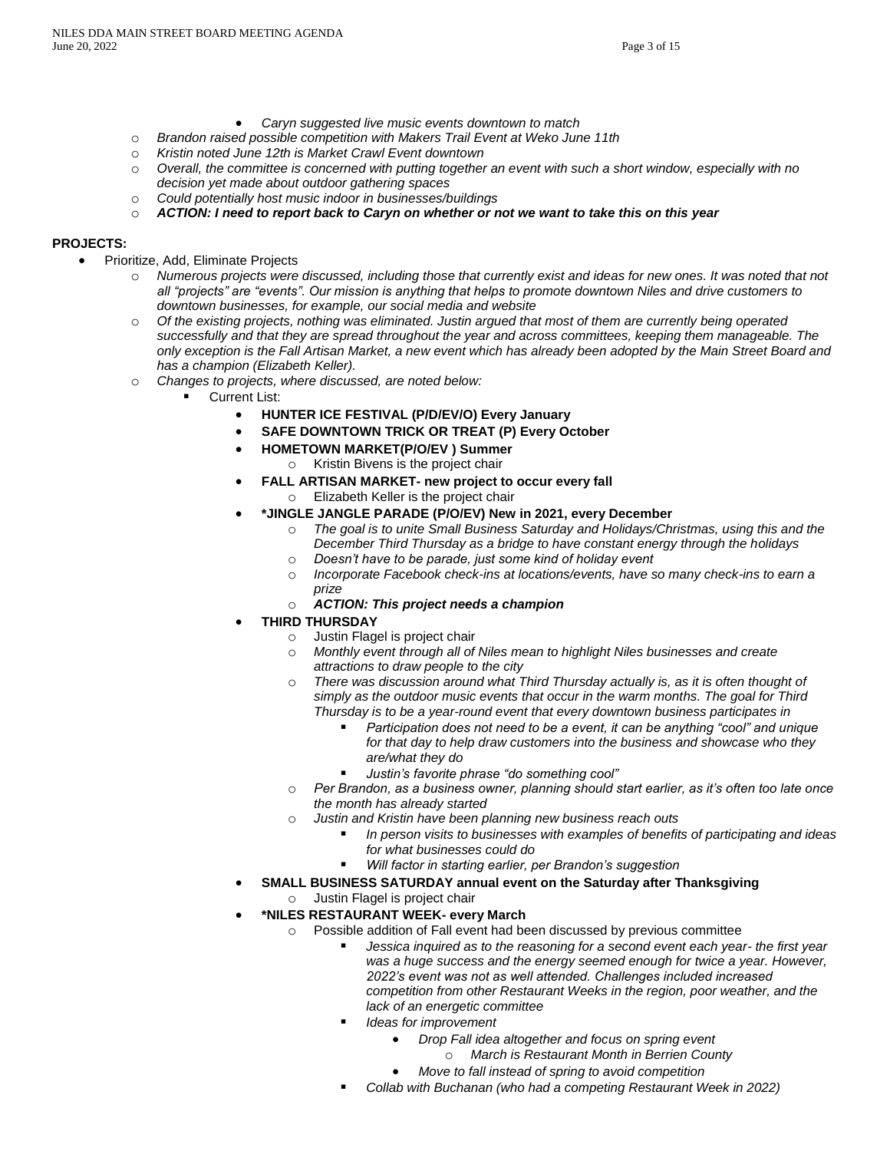- *Caryn suggested live music events downtown to match*
- o *Brandon raised possible competition with Makers Trail Event at Weko June 11th*
- o *Kristin noted June 12th is Market Crawl Event downtown*
- o *Overall, the committee is concerned with putting together an event with such a short window, especially with no decision yet made about outdoor gathering spaces*
- o *Could potentially host music indoor in businesses/buildings*
- o *ACTION: I need to report back to Caryn on whether or not we want to take this on this year*

# **PROJECTS:**

- Prioritize, Add, Eliminate Projects
	- o *Numerous projects were discussed, including those that currently exist and ideas for new ones. It was noted that not all "projects" are "events". Our mission is anything that helps to promote downtown Niles and drive customers to downtown businesses, for example, our social media and website*
	- o *Of the existing projects, nothing was eliminated. Justin argued that most of them are currently being operated successfully and that they are spread throughout the year and across committees, keeping them manageable. The only exception is the Fall Artisan Market, a new event which has already been adopted by the Main Street Board and has a champion (Elizabeth Keller).*
	- o *Changes to projects, where discussed, are noted below:*
		- Current List:
			- **HUNTER ICE FESTIVAL (P/D/EV/O) Every January**
			- **SAFE DOWNTOWN TRICK OR TREAT (P) Every October**
			- **HOMETOWN MARKET(P/O/EV ) Summer**
				- o Kristin Bivens is the project chair
			- **FALL ARTISAN MARKET- new project to occur every fall**
				- o Elizabeth Keller is the project chair
			- **\*JINGLE JANGLE PARADE (P/O/EV) New in 2021, every December**
				- o *The goal is to unite Small Business Saturday and Holidays/Christmas, using this and the December Third Thursday as a bridge to have constant energy through the holidays*
				- o *Doesn't have to be parade, just some kind of holiday event*
				- o *Incorporate Facebook check-ins at locations/events, have so many check-ins to earn a prize*
				- o *ACTION: This project needs a champion*
			- **THIRD THURSDAY**
				- o Justin Flagel is project chair
				- o *Monthly event through all of Niles mean to highlight Niles businesses and create attractions to draw people to the city*
				- o *There was discussion around what Third Thursday actually is, as it is often thought of simply as the outdoor music events that occur in the warm months. The goal for Third Thursday is to be a year-round event that every downtown business participates in*
					- Participation does not need to be a event, it can be anything "cool" and unique *for that day to help draw customers into the business and showcase who they are/what they do*
					- *Justin's favorite phrase "do something cool"*
				- o *Per Brandon, as a business owner, planning should start earlier, as it's often too late once the month has already started*
				- o *Justin and Kristin have been planning new business reach outs*
					- *In person visits to businesses with examples of benefits of participating and ideas for what businesses could do*
					- *Will factor in starting earlier, per Brandon's suggestion*
				- **SMALL BUSINESS SATURDAY annual event on the Saturday after Thanksgiving**
					- o Justin Flagel is project chair
			- **\*NILES RESTAURANT WEEK- every March**
				- o Possible addition of Fall event had been discussed by previous committee
					- *Jessica inquired as to the reasoning for a second event each year- the first year was a huge success and the energy seemed enough for twice a year. However, 2022's event was not as well attended. Challenges included increased competition from other Restaurant Weeks in the region, poor weather, and the lack of an energetic committee*
						- **Ideas for improvement** 
							- *Drop Fall idea altogether and focus on spring event*
							- o *March is Restaurant Month in Berrien County*
							- *Move to fall instead of spring to avoid competition*
						- *Collab with Buchanan (who had a competing Restaurant Week in 2022)*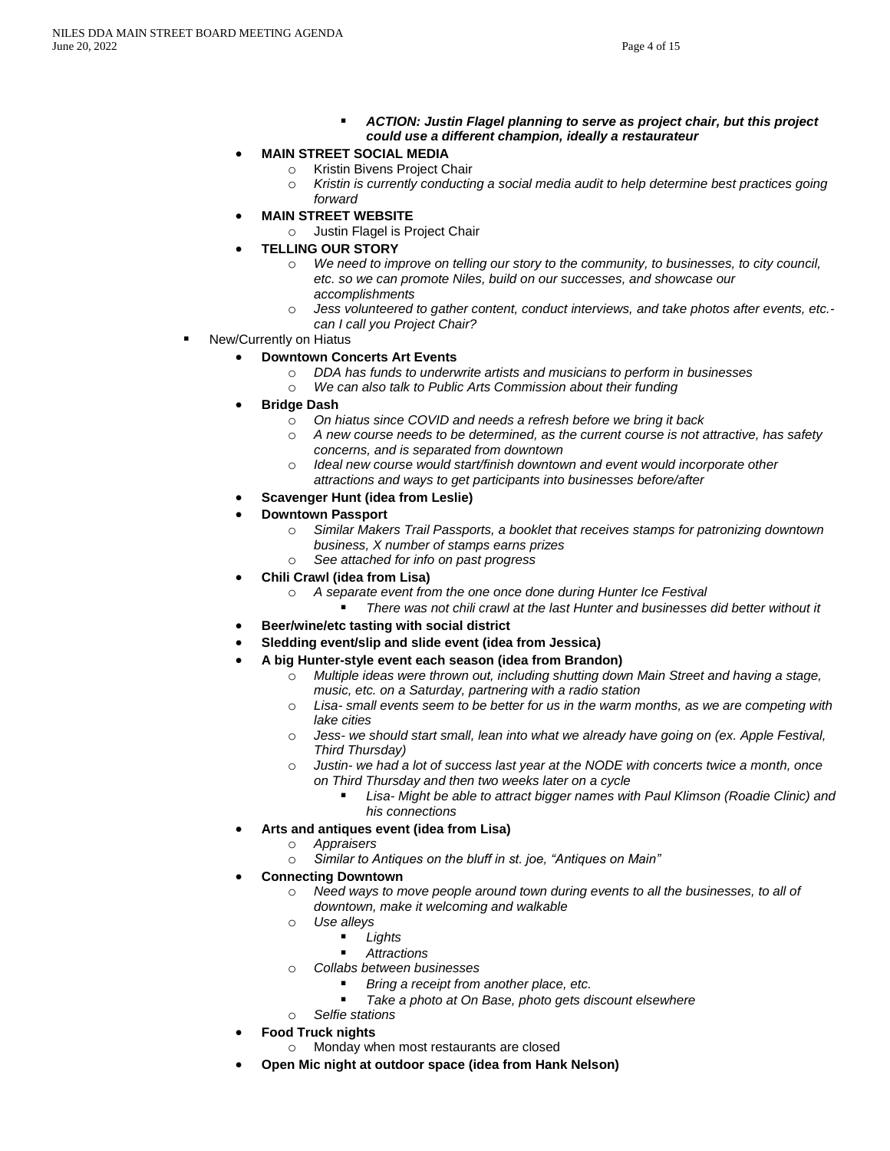- *ACTION: Justin Flagel planning to serve as project chair, but this project could use a different champion, ideally a restaurateur*
- **MAIN STREET SOCIAL MEDIA**
	- o Kristin Bivens Project Chair
	- o *Kristin is currently conducting a social media audit to help determine best practices going forward*
- **MAIN STREET WEBSITE**
	- o Justin Flagel is Project Chair
- **TELLING OUR STORY**
	- We need to improve on telling our story to the community, to businesses, to city council, *etc. so we can promote Niles, build on our successes, and showcase our accomplishments*
	- o *Jess volunteered to gather content, conduct interviews, and take photos after events, etc. can I call you Project Chair?*
- New/Currently on Hiatus

### • **Downtown Concerts Art Events**

- o *DDA has funds to underwrite artists and musicians to perform in businesses*
- o *We can also talk to Public Arts Commission about their funding*
- **Bridge Dash**
	- o *On hiatus since COVID and needs a refresh before we bring it back*
	- o *A new course needs to be determined, as the current course is not attractive, has safety concerns, and is separated from downtown*
	- o *Ideal new course would start/finish downtown and event would incorporate other attractions and ways to get participants into businesses before/after*
- **Scavenger Hunt (idea from Leslie)**
- **Downtown Passport**
	- o *Similar Makers Trail Passports, a booklet that receives stamps for patronizing downtown business, X number of stamps earns prizes*
	- o *See attached for info on past progress*
- **Chili Crawl (idea from Lisa)**
	- o *A separate event from the one once done during Hunter Ice Festival*
		- *There was not chili crawl at the last Hunter and businesses did better without it*
- **Beer/wine/etc tasting with social district**
- **Sledding event/slip and slide event (idea from Jessica)**
- **A big Hunter-style event each season (idea from Brandon)**
	- o *Multiple ideas were thrown out, including shutting down Main Street and having a stage, music, etc. on a Saturday, partnering with a radio station*
	- o *Lisa- small events seem to be better for us in the warm months, as we are competing with lake cities*
	- o *Jess- we should start small, lean into what we already have going on (ex. Apple Festival, Third Thursday)*
	- o *Justin- we had a lot of success last year at the NODE with concerts twice a month, once on Third Thursday and then two weeks later on a cycle*
		- Lisa- Might be able to attract bigger names with Paul Klimson (Roadie Clinic) and *his connections*
- **Arts and antiques event (idea from Lisa)**
	- o *Appraisers*
	- o *Similar to Antiques on the bluff in st. joe, "Antiques on Main"*
- **Connecting Downtown**
	- o *Need ways to move people around town during events to all the businesses, to all of downtown, make it welcoming and walkable*
	- o *Use alleys*
		- *Lights*
		- *Attractions*
	- o *Collabs between businesses*
		- Bring a receipt from another place, etc.
		- Take a photo at On Base, photo gets discount elsewhere
	- o *Selfie stations*
- **Food Truck nights**
	- o Monday when most restaurants are closed
- **Open Mic night at outdoor space (idea from Hank Nelson)**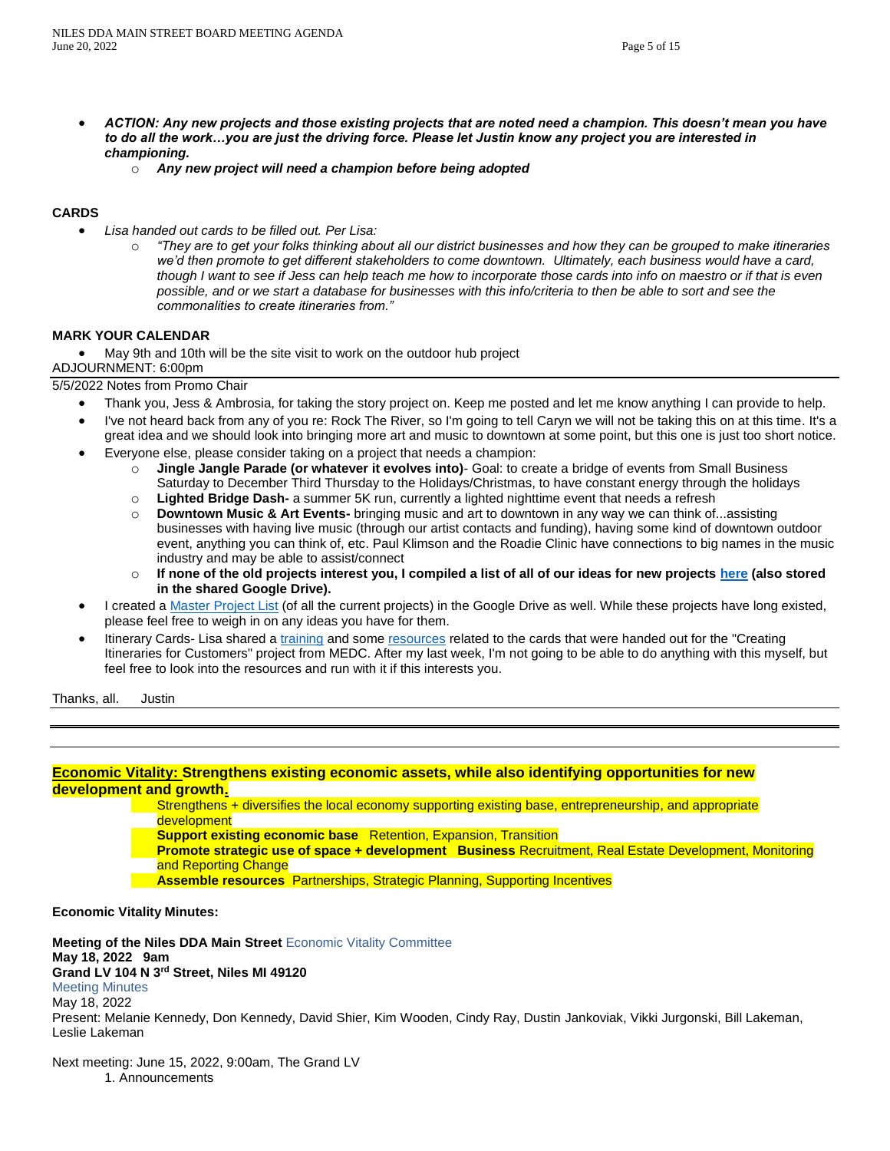- *ACTION: Any new projects and those existing projects that are noted need a champion. This doesn't mean you have to do all the work…you are just the driving force. Please let Justin know any project you are interested in championing.*
	- o *Any new project will need a champion before being adopted*

# **CARDS**

- *Lisa handed out cards to be filled out. Per Lisa:*
	- o *"They are to get your folks thinking about all our district businesses and how they can be grouped to make itineraries we'd then promote to get different stakeholders to come downtown. Ultimately, each business would have a card, though I want to see if Jess can help teach me how to incorporate those cards into info on maestro or if that is even possible, and or we start a database for businesses with this info/criteria to then be able to sort and see the commonalities to create itineraries from."*

### **MARK YOUR CALENDAR**

• May 9th and 10th will be the site visit to work on the outdoor hub project

ADJOURNMENT: 6:00pm

5/5/2022 Notes from Promo Chair

- Thank you, Jess & Ambrosia, for taking the story project on. Keep me posted and let me know anything I can provide to help.
- I've not heard back from any of you re: Rock The River, so I'm going to tell Caryn we will not be taking this on at this time. It's a great idea and we should look into bringing more art and music to downtown at some point, but this one is just too short notice.
- Everyone else, please consider taking on a project that needs a champion:
	- o **Jingle Jangle Parade (or whatever it evolves into)** Goal: to create a bridge of events from Small Business Saturday to December Third Thursday to the Holidays/Christmas, to have constant energy through the holidays
	- o **Lighted Bridge Dash-** a summer 5K run, currently a lighted nighttime event that needs a refresh
	- o **Downtown Music & Art Events-** bringing music and art to downtown in any way we can think of...assisting businesses with having live music (through our artist contacts and funding), having some kind of downtown outdoor event, anything you can think of, etc. Paul Klimson and the Roadie Clinic have connections to big names in the music industry and may be able to assist/connect
	- o **If none of the old projects interest you, I compiled a list of all of our ideas for new projects [here](https://docs.google.com/document/d/1-4e7G7M-J1WvvQJdKefrcuD5XuIcew0nH0q9p25qOok/edit?usp=sharing) (also stored in the shared Google Drive).**
- I created a [Master Project List](https://docs.google.com/document/d/1ev13XEYOSzyTy_JlDH02IvoZfFIC-DRiLnwUA3SkB48/edit?usp=sharing) (of all the current projects) in the Google Drive as well. While these projects have long existed, please feel free to weigh in on any ideas you have for them.
- Itinerary Cards- Lisa shared a [training](https://medc.app.box.com/s/ezer3236g67w2r4nhw4tutfm2wlp2geb) and some [resources](https://medc.app.box.com/s/317hhsp0j5653yyg15s63bgttpmp0i30) related to the cards that were handed out for the "Creating Itineraries for Customers" project from MEDC. After my last week, I'm not going to be able to do anything with this myself, but feel free to look into the resources and run with it if this interests you.

Thanks, all. Justin

## **Economic Vitality: Strengthens existing economic assets, while also identifying opportunities for new development and growth.**

Strengthens + diversifies the local economy supporting existing base, entrepreneurship, and appropriate development

**Support existing economic base** Retention, Expansion, Transition

- **Promote strategic use of space + development Business** Recruitment, Real Estate Development, Monitoring and Reporting Change
- **Assemble resources** Partnerships, Strategic Planning, Supporting Incentives

**Economic Vitality Minutes:**

**Meeting of the Niles DDA Main Street** Economic Vitality Committee **May 18, 2022 9am Grand LV 104 N 3rd Street, Niles MI 49120** Meeting Minutes May 18, 2022 Present: Melanie Kennedy, Don Kennedy, David Shier, Kim Wooden, Cindy Ray, Dustin Jankoviak, Vikki Jurgonski, Bill Lakeman, Leslie Lakeman

Next meeting: June 15, 2022, 9:00am, The Grand LV

1. Announcements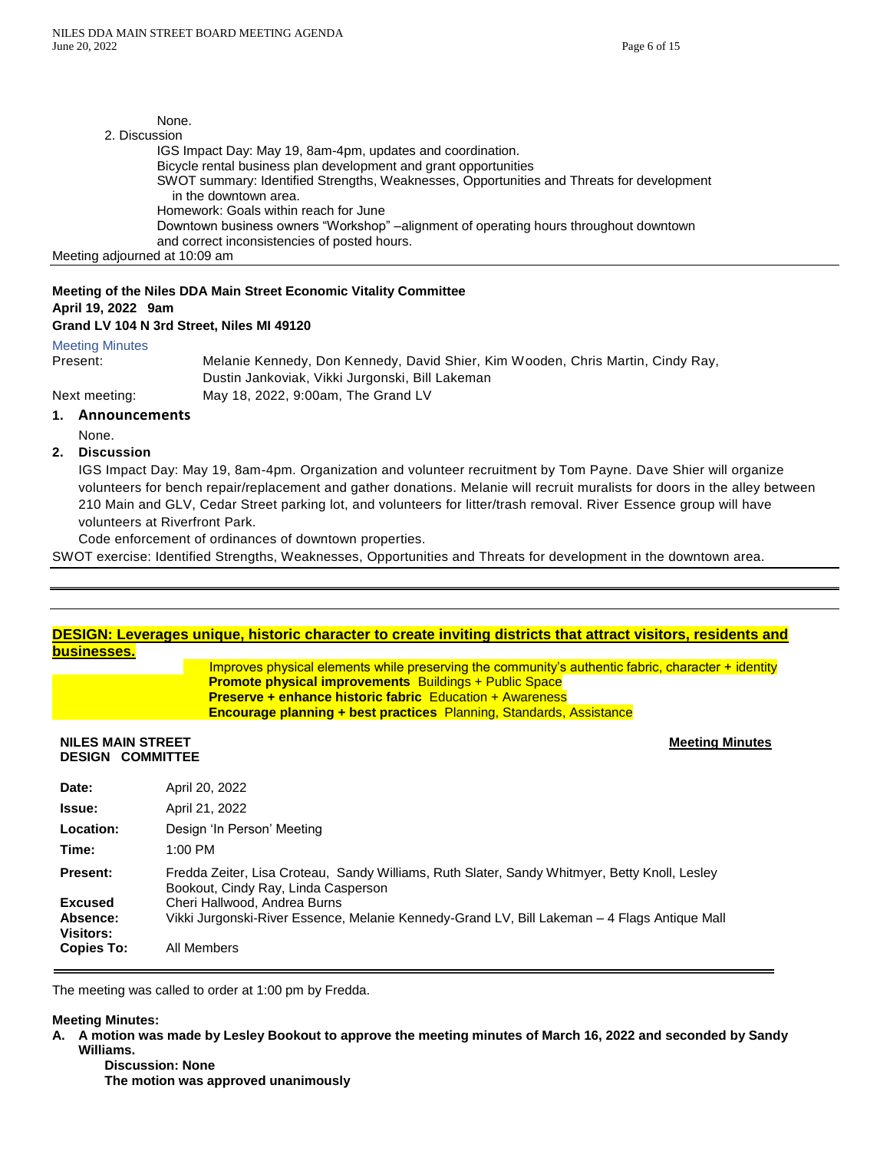None. 2. Discussion IGS Impact Day: May 19, 8am-4pm, updates and coordination. Bicycle rental business plan development and grant opportunities SWOT summary: Identified Strengths, Weaknesses, Opportunities and Threats for development in the downtown area. Homework: Goals within reach for June Downtown business owners "Workshop" –alignment of operating hours throughout downtown and correct inconsistencies of posted hours. Meeting adjourned at 10:09 am

# **Meeting of the Niles DDA Main Street Economic Vitality Committee**

#### **April 19, 2022 9am Grand LV 104 N 3rd Street, Niles MI 49120**

# Meeting Minutes

Present: Melanie Kennedy, Don Kennedy, David Shier, Kim Wooden, Chris Martin, Cindy Ray, Dustin Jankoviak, Vikki Jurgonski, Bill Lakeman Next meeting: May 18, 2022, 9:00am, The Grand LV

# **1. Announcements**

None.

## **2. Discussion**

IGS Impact Day: May 19, 8am-4pm. Organization and volunteer recruitment by Tom Payne. Dave Shier will organize volunteers for bench repair/replacement and gather donations. Melanie will recruit muralists for doors in the alley between 210 Main and GLV, Cedar Street parking lot, and volunteers for litter/trash removal. River Essence group will have volunteers at Riverfront Park.

Code enforcement of ordinances of downtown properties.

SWOT exercise: Identified Strengths, Weaknesses, Opportunities and Threats for development in the downtown area.

| businesses.                                         | DESIGN: Leverages unique, historic character to create inviting districts that attract visitors, residents and                                                                                                                                                                                                         |
|-----------------------------------------------------|------------------------------------------------------------------------------------------------------------------------------------------------------------------------------------------------------------------------------------------------------------------------------------------------------------------------|
|                                                     | Improves physical elements while preserving the community's authentic fabric, character $+$ identity<br><b>Promote physical improvements</b> Buildings + Public Space<br><b>Preserve + enhance historic fabric Education + Awareness</b><br><b>Encourage planning + best practices</b> Planning, Standards, Assistance |
| <b>NILES MAIN STREET</b><br><b>DESIGN COMMITTEE</b> | <b>Meeting Minutes</b>                                                                                                                                                                                                                                                                                                 |
| Date:                                               | April 20, 2022                                                                                                                                                                                                                                                                                                         |
| <b>Issue:</b>                                       | April 21, 2022                                                                                                                                                                                                                                                                                                         |
| Location:                                           | Design 'In Person' Meeting                                                                                                                                                                                                                                                                                             |
| Time:                                               | $1:00$ PM                                                                                                                                                                                                                                                                                                              |
| <b>Present:</b>                                     | Fredda Zeiter, Lisa Croteau, Sandy Williams, Ruth Slater, Sandy Whitmyer, Betty Knoll, Lesley<br>Bookout, Cindy Ray, Linda Casperson                                                                                                                                                                                   |
| <b>Excused</b><br>Absence:<br><b>Visitors:</b>      | Cheri Hallwood, Andrea Burns<br>Vikki Jurgonski-River Essence, Melanie Kennedy-Grand LV, Bill Lakeman – 4 Flags Antique Mall                                                                                                                                                                                           |
| <b>Copies To:</b>                                   | All Members                                                                                                                                                                                                                                                                                                            |

The meeting was called to order at 1:00 pm by Fredda.

#### **Meeting Minutes:**

**A. A motion was made by Lesley Bookout to approve the meeting minutes of March 16, 2022 and seconded by Sandy Williams.**

**Discussion: None The motion was approved unanimously**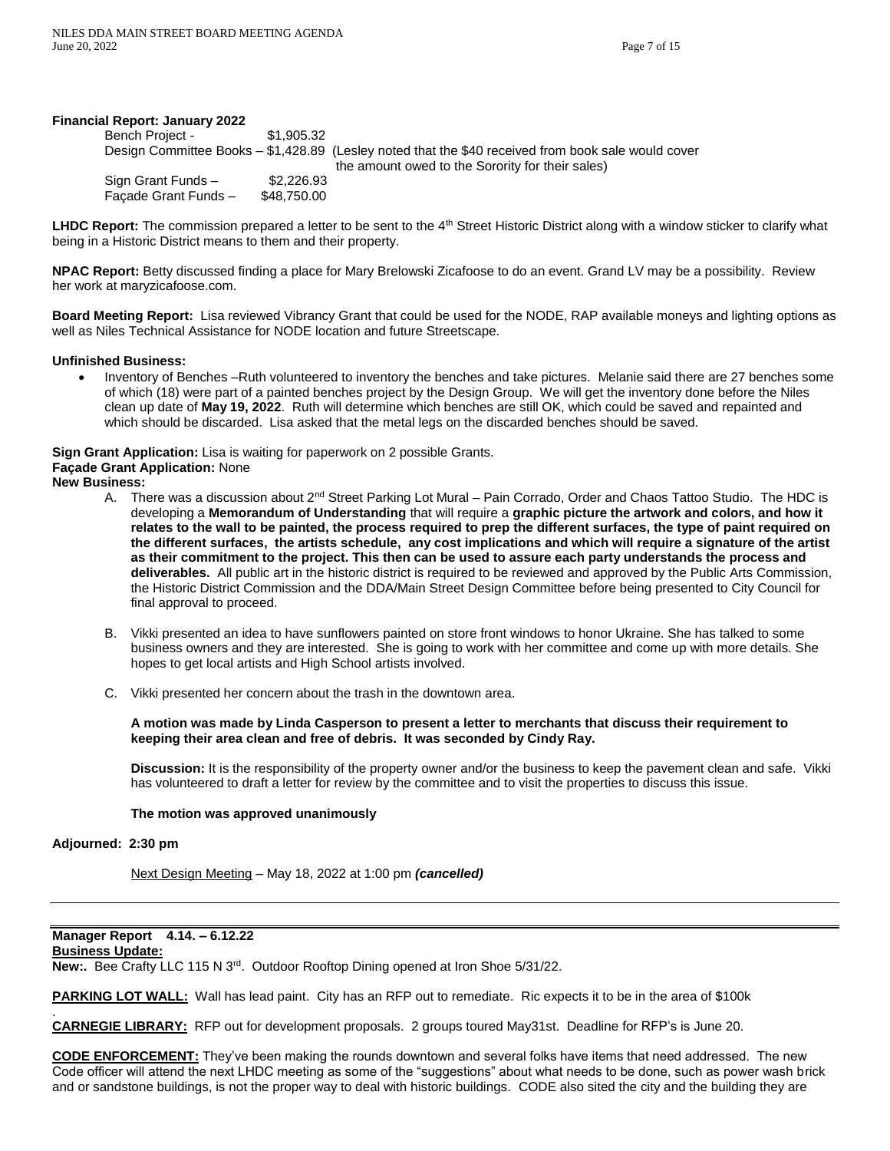#### **Financial Report: January 2022**

| Bench Project -      | \$1,905.32  |                                                                                                     |
|----------------------|-------------|-----------------------------------------------------------------------------------------------------|
|                      |             | Design Committee Books – \$1,428.89 (Lesley noted that the \$40 received from book sale would cover |
|                      |             | the amount owed to the Sorority for their sales)                                                    |
| Sign Grant Funds -   | \$2,226.93  |                                                                                                     |
| Facade Grant Funds - | \$48,750,00 |                                                                                                     |

LHDC Report: The commission prepared a letter to be sent to the 4<sup>th</sup> Street Historic District along with a window sticker to clarify what being in a Historic District means to them and their property.

**NPAC Report:** Betty discussed finding a place for Mary Brelowski Zicafoose to do an event. Grand LV may be a possibility. Review her work at maryzicafoose.com.

**Board Meeting Report:** Lisa reviewed Vibrancy Grant that could be used for the NODE, RAP available moneys and lighting options as well as Niles Technical Assistance for NODE location and future Streetscape.

#### **Unfinished Business:**

• Inventory of Benches –Ruth volunteered to inventory the benches and take pictures. Melanie said there are 27 benches some of which (18) were part of a painted benches project by the Design Group. We will get the inventory done before the Niles clean up date of **May 19, 2022**. Ruth will determine which benches are still OK, which could be saved and repainted and which should be discarded. Lisa asked that the metal legs on the discarded benches should be saved.

**Sign Grant Application:** Lisa is waiting for paperwork on 2 possible Grants. **Façade Grant Application:** None

# **New Business:**

- A. There was a discussion about 2<sup>nd</sup> Street Parking Lot Mural Pain Corrado, Order and Chaos Tattoo Studio. The HDC is developing a **Memorandum of Understanding** that will require a **graphic picture the artwork and colors, and how it relates to the wall to be painted, the process required to prep the different surfaces, the type of paint required on the different surfaces, the artists schedule, any cost implications and which will require a signature of the artist as their commitment to the project. This then can be used to assure each party understands the process and deliverables.** All public art in the historic district is required to be reviewed and approved by the Public Arts Commission, the Historic District Commission and the DDA/Main Street Design Committee before being presented to City Council for final approval to proceed.
- B. Vikki presented an idea to have sunflowers painted on store front windows to honor Ukraine. She has talked to some business owners and they are interested. She is going to work with her committee and come up with more details. She hopes to get local artists and High School artists involved.
- C. Vikki presented her concern about the trash in the downtown area.

#### **A motion was made by Linda Casperson to present a letter to merchants that discuss their requirement to keeping their area clean and free of debris. It was seconded by Cindy Ray.**

**Discussion:** It is the responsibility of the property owner and/or the business to keep the pavement clean and safe. Vikki has volunteered to draft a letter for review by the committee and to visit the properties to discuss this issue.

#### **The motion was approved unanimously**

#### **Adjourned: 2:30 pm**

.

Next Design Meeting – May 18, 2022 at 1:00 pm *(cancelled)*

#### **Manager Report 4.14. – 6.12.22 Business Update:**

**New:.** Bee Crafty LLC 115 N 3rd. Outdoor Rooftop Dining opened at Iron Shoe 5/31/22.

**PARKING LOT WALL:** Wall has lead paint. City has an RFP out to remediate. Ric expects it to be in the area of \$100k

**CARNEGIE LIBRARY:** RFP out for development proposals. 2 groups toured May31st. Deadline for RFP's is June 20.

**CODE ENFORCEMENT:** They've been making the rounds downtown and several folks have items that need addressed. The new Code officer will attend the next LHDC meeting as some of the "suggestions" about what needs to be done, such as power wash brick and or sandstone buildings, is not the proper way to deal with historic buildings. CODE also sited the city and the building they are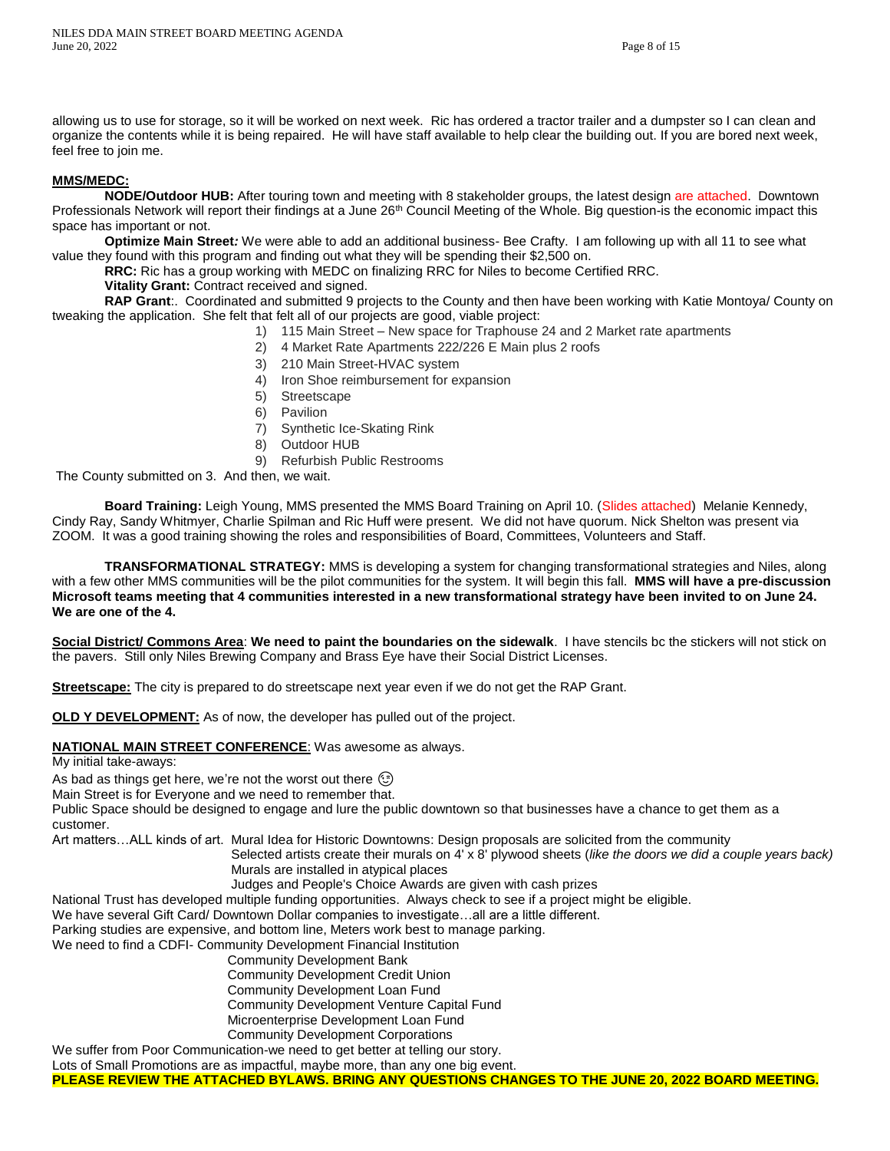allowing us to use for storage, so it will be worked on next week. Ric has ordered a tractor trailer and a dumpster so I can clean and organize the contents while it is being repaired. He will have staff available to help clear the building out. If you are bored next week, feel free to join me.

### **MMS/MEDC:**

**NODE/Outdoor HUB:** After touring town and meeting with 8 stakeholder groups, the latest design are attached. Downtown Professionals Network will report their findings at a June 26<sup>th</sup> Council Meeting of the Whole. Big question-is the economic impact this space has important or not.

**Optimize Main Street***:* We were able to add an additional business- Bee Crafty. I am following up with all 11 to see what value they found with this program and finding out what they will be spending their \$2,500 on.

**RRC:** Ric has a group working with MEDC on finalizing RRC for Niles to become Certified RRC.

# **Vitality Grant:** Contract received and signed.

**RAP Grant**:. Coordinated and submitted 9 projects to the County and then have been working with Katie Montoya/ County on tweaking the application. She felt that felt all of our projects are good, viable project:

- 1) 115 Main Street New space for Traphouse 24 and 2 Market rate apartments
- 2) 4 Market Rate Apartments 222/226 E Main plus 2 roofs
- 3) 210 Main Street-HVAC system
- 4) Iron Shoe reimbursement for expansion
- 5) Streetscape
- 6) Pavilion
- 7) Synthetic Ice-Skating Rink
- 8) Outdoor HUB
- 9) Refurbish Public Restrooms

The County submitted on 3. And then, we wait.

**Board Training:** Leigh Young, MMS presented the MMS Board Training on April 10. (Slides attached) Melanie Kennedy, Cindy Ray, Sandy Whitmyer, Charlie Spilman and Ric Huff were present. We did not have quorum. Nick Shelton was present via ZOOM. It was a good training showing the roles and responsibilities of Board, Committees, Volunteers and Staff.

**TRANSFORMATIONAL STRATEGY:** MMS is developing a system for changing transformational strategies and Niles, along with a few other MMS communities will be the pilot communities for the system. It will begin this fall. **MMS will have a pre-discussion Microsoft teams meeting that 4 communities interested in a new transformational strategy have been invited to on June 24. We are one of the 4.**

**Social District/ Commons Area**: **We need to paint the boundaries on the sidewalk**. I have stencils bc the stickers will not stick on the pavers. Still only Niles Brewing Company and Brass Eye have their Social District Licenses.

**Streetscape:** The city is prepared to do streetscape next year even if we do not get the RAP Grant.

**OLD Y DEVELOPMENT:** As of now, the developer has pulled out of the project.

**NATIONAL MAIN STREET CONFERENCE**: Was awesome as always.

My initial take-aways:

As bad as things get here, we're not the worst out there  $\circled{?}$ 

Main Street is for Everyone and we need to remember that.

Public Space should be designed to engage and lure the public downtown so that businesses have a chance to get them as a customer.

Art matters…ALL kinds of art. Mural Idea for Historic Downtowns: Design proposals are solicited from the community

 Selected artists create their murals on 4' x 8' plywood sheets (*like the doors we did a couple years back)* Murals are installed in atypical places

Judges and People's Choice Awards are given with cash prizes

National Trust has developed multiple funding opportunities. Always check to see if a project might be eligible.

We have several Gift Card/ Downtown Dollar companies to investigate…all are a little different.

Parking studies are expensive, and bottom line, Meters work best to manage parking.

We need to find a CDFI- Community Development Financial Institution

- Community Development Bank
- Community Development Credit Union
- Community Development Loan Fund
- Community Development Venture Capital Fund
	- Microenterprise Development Loan Fund
	- Community Development Corporations

We suffer from Poor Communication-we need to get better at telling our story.

Lots of Small Promotions are as impactful, maybe more, than any one big event.

**PLEASE REVIEW THE ATTACHED BYLAWS. BRING ANY QUESTIONS CHANGES TO THE JUNE 20, 2022 BOARD MEETING.**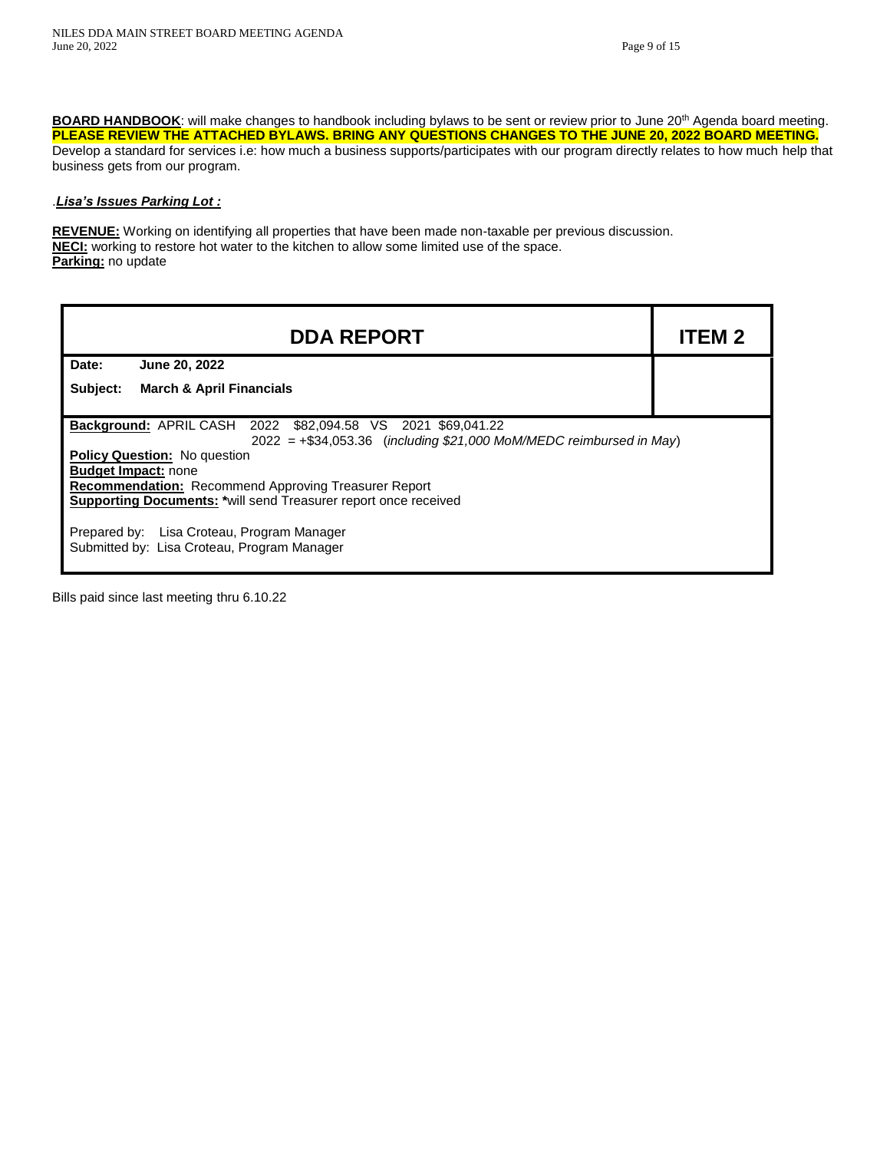BOARD HANDBOOK: will make changes to handbook including bylaws to be sent or review prior to June 20<sup>th</sup> Agenda board meeting. **PLEASE REVIEW THE ATTACHED BYLAWS. BRING ANY QUESTIONS CHANGES TO THE JUNE 20, 2022 BOARD MEETING.** Develop a standard for services i.e: how much a business supports/participates with our program directly relates to how much help that business gets from our program.

### .*Lisa's Issues Parking Lot :*

**REVENUE:** Working on identifying all properties that have been made non-taxable per previous discussion. **NECI:** working to restore hot water to the kitchen to allow some limited use of the space. **Parking:** no update

| <b>DDA REPORT</b>                                                                                                                                                                                                                                                                                                                                                                                                                                 | <b>ITEM 2</b> |  |  |
|---------------------------------------------------------------------------------------------------------------------------------------------------------------------------------------------------------------------------------------------------------------------------------------------------------------------------------------------------------------------------------------------------------------------------------------------------|---------------|--|--|
| Date:<br>June 20, 2022                                                                                                                                                                                                                                                                                                                                                                                                                            |               |  |  |
| Subject:<br><b>March &amp; April Financials</b>                                                                                                                                                                                                                                                                                                                                                                                                   |               |  |  |
| <b>Background: APRIL CASH 2022 \$82,094.58 VS 2021 \$69,041.22</b><br>$2022 = +\$34,053.36$ (including $\$21,000$ MoM/MEDC reimbursed in May)<br><b>Policy Question:</b> No question<br><b>Budget Impact: none</b><br><b>Recommendation:</b> Recommend Approving Treasurer Report<br>Supporting Documents: *will send Treasurer report once received<br>Prepared by: Lisa Croteau, Program Manager<br>Submitted by: Lisa Croteau, Program Manager |               |  |  |

Bills paid since last meeting thru 6.10.22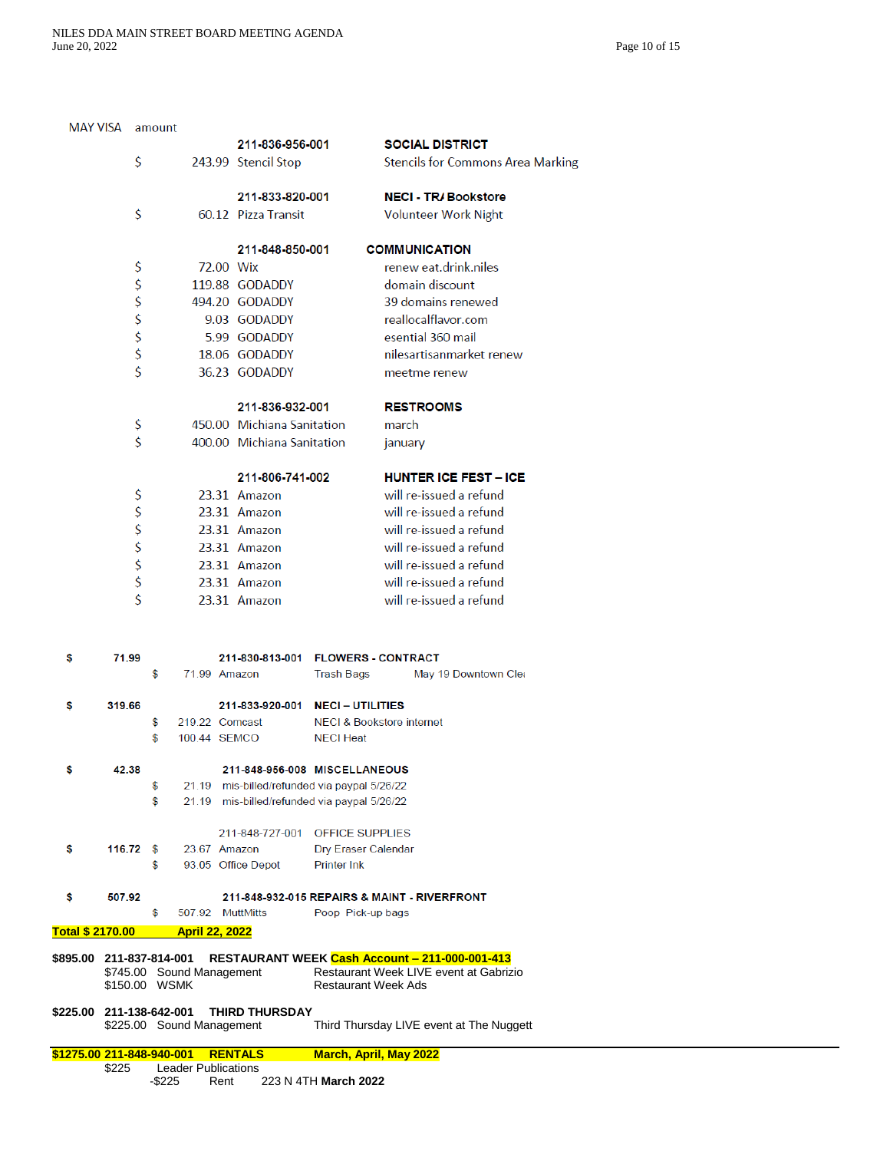| \$225.00        | Total \$ 2170.00<br>\$895.00 211-837-814-001<br>\$745.00 Sound Management<br>\$150.00 WSMK<br>211-138-642-001<br>\$225.00 Sound Management | \$<br><b>Service Service</b> | 507.92 MuttMitts<br><b>April 22, 2022</b> |           | THIRD THURSDAY                               | Poop Pick-up bags<br><b>Restaurant Week Ads</b> | RESTAURANT WEEK Cash Account - 211-000-001-413<br>Restaurant Week LIVE event at Gabrizio<br>Third Thursday LIVE event at The Nuggett |
|-----------------|--------------------------------------------------------------------------------------------------------------------------------------------|------------------------------|-------------------------------------------|-----------|----------------------------------------------|-------------------------------------------------|--------------------------------------------------------------------------------------------------------------------------------------|
|                 |                                                                                                                                            |                              |                                           |           |                                              |                                                 |                                                                                                                                      |
|                 |                                                                                                                                            |                              |                                           |           |                                              |                                                 |                                                                                                                                      |
|                 |                                                                                                                                            |                              |                                           |           |                                              |                                                 |                                                                                                                                      |
|                 |                                                                                                                                            |                              |                                           |           |                                              |                                                 |                                                                                                                                      |
| \$              | 507.92                                                                                                                                     |                              |                                           |           |                                              |                                                 | 211-848-932-015 REPAIRS & MAINT - RIVERFRONT                                                                                         |
|                 |                                                                                                                                            | \$                           |                                           |           | 93.05 Office Depot                           | <b>Printer Ink</b>                              |                                                                                                                                      |
| \$              | 116.72                                                                                                                                     | - \$                         | 23.67 Amazon                              |           |                                              | Dry Eraser Calendar                             |                                                                                                                                      |
|                 |                                                                                                                                            |                              |                                           |           | 211-848-727-001 OFFICE SUPPLIES              |                                                 |                                                                                                                                      |
|                 |                                                                                                                                            | \$                           |                                           |           | 21.19 mis-billed/refunded via paypal 5/26/22 |                                                 |                                                                                                                                      |
|                 |                                                                                                                                            | \$                           |                                           |           | 21.19 mis-billed/refunded via paypal 5/26/22 |                                                 |                                                                                                                                      |
| 5               | 42.38                                                                                                                                      |                              |                                           |           | 211-848-956-008 MISCELLANEOUS                |                                                 |                                                                                                                                      |
|                 |                                                                                                                                            |                              |                                           |           |                                              |                                                 |                                                                                                                                      |
|                 |                                                                                                                                            | \$<br>\$                     | 219.22 Comcast<br>100.44 SEMCO            |           |                                              | <b>NECI Heat</b>                                | <b>NECI &amp; Bookstore internet</b>                                                                                                 |
| \$              | 319.66                                                                                                                                     |                              |                                           |           | 211-833-920-001 NECI-UTILITIES               |                                                 |                                                                                                                                      |
|                 |                                                                                                                                            |                              |                                           |           |                                              |                                                 |                                                                                                                                      |
| s               | 71.99                                                                                                                                      | \$                           | 71.99 Amazon                              |           | 211-830-813-001 FLOWERS - CONTRACT           | <b>Trash Bags</b>                               | May 19 Downtown Clea                                                                                                                 |
|                 |                                                                                                                                            |                              |                                           |           |                                              |                                                 |                                                                                                                                      |
|                 |                                                                                                                                            |                              |                                           |           |                                              |                                                 |                                                                                                                                      |
|                 |                                                                                                                                            |                              |                                           |           | 23.31 Amazon                                 |                                                 | will re-issued a refund                                                                                                              |
|                 |                                                                                                                                            |                              |                                           |           | 23.31 Amazon                                 |                                                 | will re-issued a refund                                                                                                              |
|                 |                                                                                                                                            |                              |                                           |           | 23.31 Amazon                                 |                                                 | will re-issued a refund                                                                                                              |
|                 | \$\$\$\$\$                                                                                                                                 |                              |                                           |           | 23.31 Amazon                                 |                                                 | will re-issued a refund                                                                                                              |
|                 |                                                                                                                                            |                              |                                           |           | 23.31 Amazon<br>23.31 Amazon                 |                                                 | will re-issued a refund<br>will re-issued a refund                                                                                   |
|                 | \$                                                                                                                                         |                              |                                           |           | 23.31 Amazon                                 |                                                 | will re-issued a refund                                                                                                              |
|                 |                                                                                                                                            |                              |                                           |           | 211-806-741-002                              |                                                 | <b>HUNTER ICE FEST - ICE</b>                                                                                                         |
|                 |                                                                                                                                            |                              |                                           |           |                                              |                                                 |                                                                                                                                      |
|                 | \$                                                                                                                                         |                              |                                           |           | 400.00 Michiana Sanitation                   |                                                 | january                                                                                                                              |
|                 | \$                                                                                                                                         |                              |                                           |           | 450.00 Michiana Sanitation                   |                                                 | march                                                                                                                                |
|                 |                                                                                                                                            |                              |                                           |           | 211-836-932-001                              |                                                 | <b>RESTROOMS</b>                                                                                                                     |
|                 |                                                                                                                                            |                              |                                           |           | 36.23 GODADDY                                |                                                 | meetme renew                                                                                                                         |
|                 |                                                                                                                                            |                              |                                           |           | 18.06 GODADDY                                |                                                 | nilesartisanmarket renew                                                                                                             |
|                 | S<br>S<br>S<br>S<br>S<br>S<br>S<br>S                                                                                                       |                              |                                           |           | 5.99 GODADDY                                 |                                                 | esential 360 mail                                                                                                                    |
|                 |                                                                                                                                            |                              |                                           |           | 9.03 GODADDY                                 |                                                 | reallocalflavor.com                                                                                                                  |
|                 |                                                                                                                                            |                              |                                           |           | 494.20 GODADDY                               |                                                 | 39 domains renewed                                                                                                                   |
|                 |                                                                                                                                            |                              |                                           |           | 119.88 GODADDY                               |                                                 | domain discount                                                                                                                      |
|                 | \$                                                                                                                                         |                              |                                           | 72.00 Wix |                                              |                                                 | renew eat.drink.niles                                                                                                                |
|                 |                                                                                                                                            |                              |                                           |           | 211-848-850-001                              |                                                 | <b>COMMUNICATION</b>                                                                                                                 |
|                 | \$                                                                                                                                         |                              |                                           |           | 60.12 Pizza Transit                          |                                                 | <b>Volunteer Work Night</b>                                                                                                          |
|                 |                                                                                                                                            |                              |                                           |           | 211-833-820-001                              |                                                 | <b>NECI - TR/Bookstore</b>                                                                                                           |
|                 |                                                                                                                                            |                              |                                           |           |                                              |                                                 |                                                                                                                                      |
|                 | \$                                                                                                                                         |                              |                                           |           | 211-836-956-001<br>243.99 Stencil Stop       |                                                 | <b>SOCIAL DISTRICT</b><br><b>Stencils for Commons Area Marking</b>                                                                   |
| <b>MAY VISA</b> |                                                                                                                                            | amount                       |                                           |           |                                              |                                                 |                                                                                                                                      |

| \$225 |        | <b>Leader Publications</b> |                      |
|-------|--------|----------------------------|----------------------|
|       | -\$225 | Rent                       | 223 N 4TH March 2022 |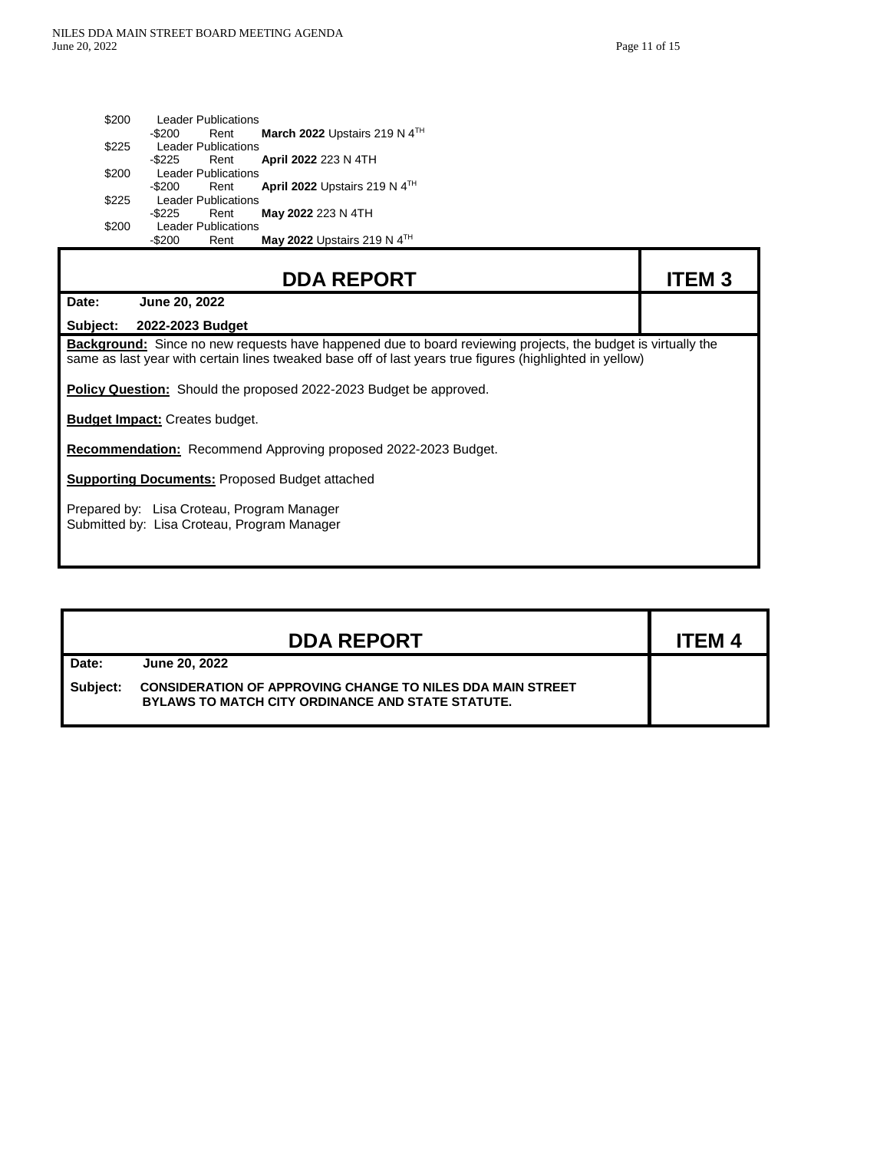г

n

Ť

| \$200 | <b>Leader Publications</b>                                  |  |
|-------|-------------------------------------------------------------|--|
|       | March 2022 Upstairs 219 N 4 <sup>TH</sup><br>-\$200<br>Rent |  |
| \$225 | <b>Leader Publications</b>                                  |  |
|       | April 2022 223 N 4TH<br>-\$225<br>Rent                      |  |
| \$200 | <b>Leader Publications</b>                                  |  |
|       | April 2022 Upstairs 219 N $4TH$<br>-\$200<br>Rent           |  |
| \$225 | <b>Leader Publications</b>                                  |  |
|       | May 2022 223 N 4TH<br>-\$225<br>Rent                        |  |
| \$200 | <b>Leader Publications</b>                                  |  |
|       | May 2022 Upstairs 219 N 4TH<br>-\$200<br>Rent               |  |

| <b>DDA REPORT</b>                                                                                                                                                                                                        | <b>ITEM3</b> |  |  |  |
|--------------------------------------------------------------------------------------------------------------------------------------------------------------------------------------------------------------------------|--------------|--|--|--|
| Date:<br>June 20, 2022                                                                                                                                                                                                   |              |  |  |  |
| Subject:<br>2022-2023 Budget                                                                                                                                                                                             |              |  |  |  |
| Background: Since no new requests have happened due to board reviewing projects, the budget is virtually the<br>same as last year with certain lines tweaked base off of last years true figures (highlighted in yellow) |              |  |  |  |
| <b>Policy Question:</b> Should the proposed 2022-2023 Budget be approved.                                                                                                                                                |              |  |  |  |
| <b>Budget Impact: Creates budget.</b>                                                                                                                                                                                    |              |  |  |  |
| <b>Recommendation:</b> Recommend Approving proposed 2022-2023 Budget.                                                                                                                                                    |              |  |  |  |
| <b>Supporting Documents: Proposed Budget attached</b>                                                                                                                                                                    |              |  |  |  |
| Prepared by: Lisa Croteau, Program Manager<br>Submitted by: Lisa Croteau, Program Manager                                                                                                                                |              |  |  |  |

|          | <b>DDA REPORT</b>                                                                                                             | <b>ITEM 4</b> |
|----------|-------------------------------------------------------------------------------------------------------------------------------|---------------|
| Date:    | June 20, 2022                                                                                                                 |               |
| Subject: | <b>CONSIDERATION OF APPROVING CHANGE TO NILES DDA MAIN STREET</b><br><b>BYLAWS TO MATCH CITY ORDINANCE AND STATE STATUTE.</b> |               |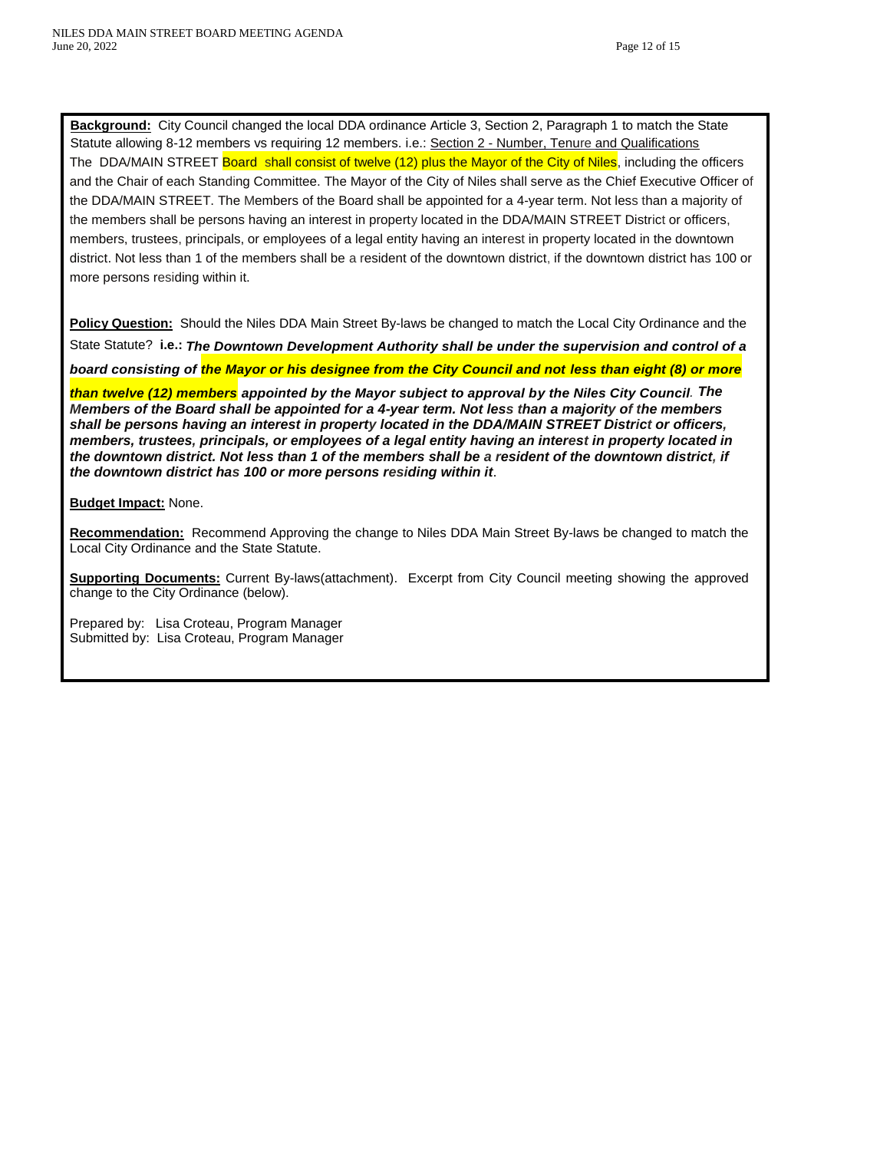**Background:** City Council changed the local DDA ordinance Article 3, Section 2, Paragraph 1 to match the State Statute allowing 8-12 members vs requiring 12 members. i.e.: Section 2 - Number, Tenure and Qualifications The DDA/MAIN STREET **Board shall consist of twelve (12) plus the Mayor of the City of Niles**, including the officers and the Chair of each Standing Committee. The Mayor of the City of Niles shall serve as the Chief Executive Officer of the DDA/MAIN STREET. The Members of the Board shall be appointed for a 4-year term. Not less than a majority of the members shall be persons having an interest in property located in the DDA/MAIN STREET District or officers, members, trustees, principals, or employees of a legal entity having an interest in property located in the downtown district. Not less than 1 of the members shall be a resident of the downtown district, if the downtown district has 100 or more persons residing within it.

**Policy Question:** Should the Niles DDA Main Street By-laws be changed to match the Local City Ordinance and the State Statute? **i.e.:** *The Downtown Development Authority shall be under the supervision and control of a* 

*board consisting of the Mayor or his designee from the City Council and not less than eight (8) or more* 

*than twelve (12) members appointed by the Mayor subject to approval by the Niles City Council. The Members of the Board shall be appointed for a 4-year term. Not less than a majority of the members shall be persons having an interest in property located in the DDA/MAIN STREET District or officers, members, trustees, principals, or employees of a legal entity having an interest in property located in the downtown district. Not less than 1 of the members shall be a resident of the downtown district, if the downtown district has 100 or more persons residing within it*.

### **Budget Impact:** None.

**Recommendation:** Recommend Approving the change to Niles DDA Main Street By-laws be changed to match the Local City Ordinance and the State Statute.

**Supporting Documents:** Current By-laws(attachment). Excerpt from City Council meeting showing the approved change to the City Ordinance (below).

Prepared by: Lisa Croteau, Program Manager Submitted by: Lisa Croteau, Program Manager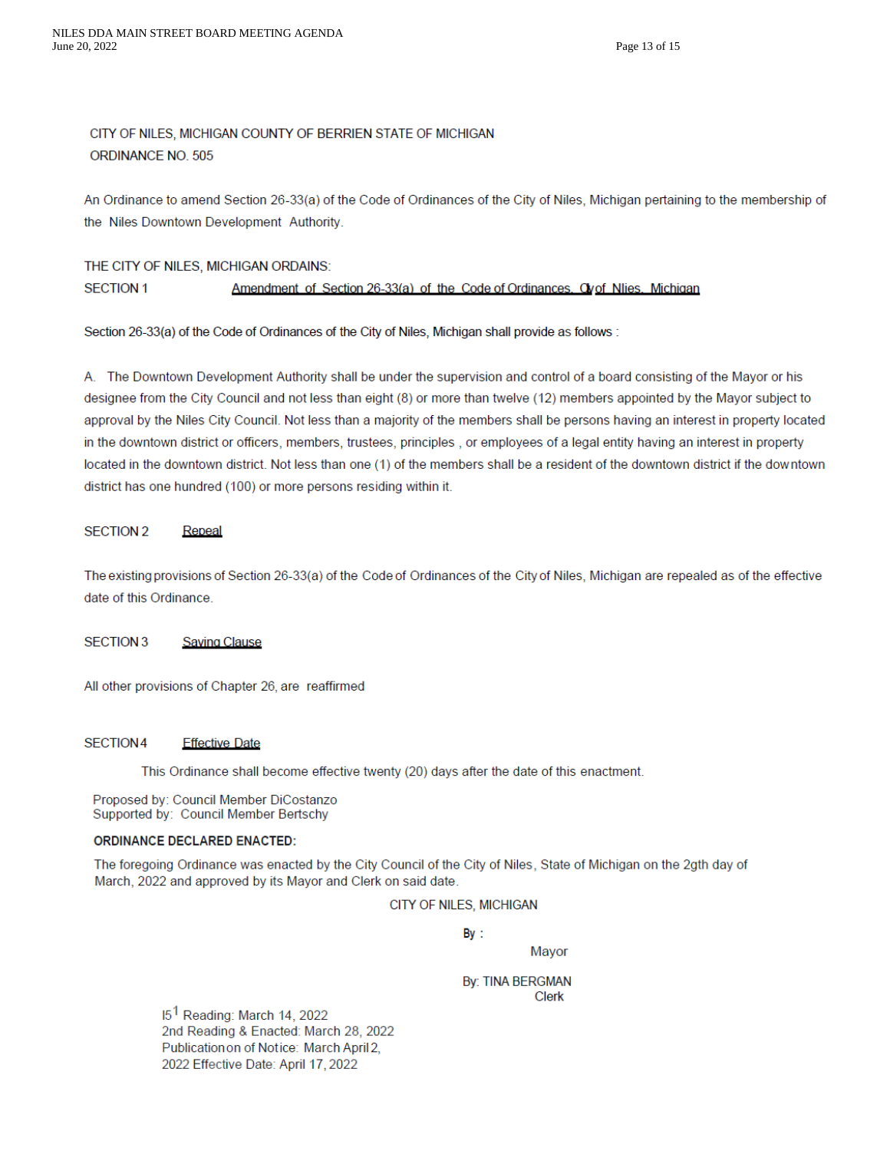# CITY OF NILES, MICHIGAN COUNTY OF BERRIEN STATE OF MICHIGAN ORDINANCE NO. 505

An Ordinance to amend Section 26-33(a) of the Code of Ordinances of the City of Niles, Michigan pertaining to the membership of the Niles Downtown Development Authority.

#### THE CITY OF NILES, MICHIGAN ORDAINS: **SECTION 1** Amendment of Section 26-33(a) of the Code of Ordinances. Ovof Nlies. Michigan

Section 26-33(a) of the Code of Ordinances of the City of Niles, Michigan shall provide as follows :

A. The Downtown Development Authority shall be under the supervision and control of a board consisting of the Mayor or his designee from the City Council and not less than eight (8) or more than twelve (12) members appointed by the Mayor subject to approval by the Niles City Council. Not less than a majority of the members shall be persons having an interest in property located in the downtown district or officers, members, trustees, principles, or employees of a legal entity having an interest in property located in the downtown district. Not less than one (1) of the members shall be a resident of the downtown district if the downtown district has one hundred (100) or more persons residing within it.

#### **SECTION 2** Repeal

The existing provisions of Section 26-33(a) of the Code of Ordinances of the City of Niles, Michigan are repealed as of the effective date of this Ordinance.

#### **SECTION 3 Saving Clause**

All other provisions of Chapter 26, are reaffirmed

#### SECTION4 **Effective Date**

This Ordinance shall become effective twenty (20) days after the date of this enactment.

Proposed by: Council Member DiCostanzo Supported by: Council Member Bertschy

### **ORDINANCE DECLARED ENACTED:**

The foregoing Ordinance was enacted by the City Council of the City of Niles, State of Michigan on the 2gth day of March, 2022 and approved by its Mayor and Clerk on said date.

CITY OF NILES, MICHIGAN

 $By:$ 

Mayor

**By: TINA BERGMAN Clerk** 

15<sup>1</sup> Reading: March 14, 2022 2nd Reading & Enacted: March 28, 2022 Publication on of Notice: March April 2, 2022 Effective Date: April 17, 2022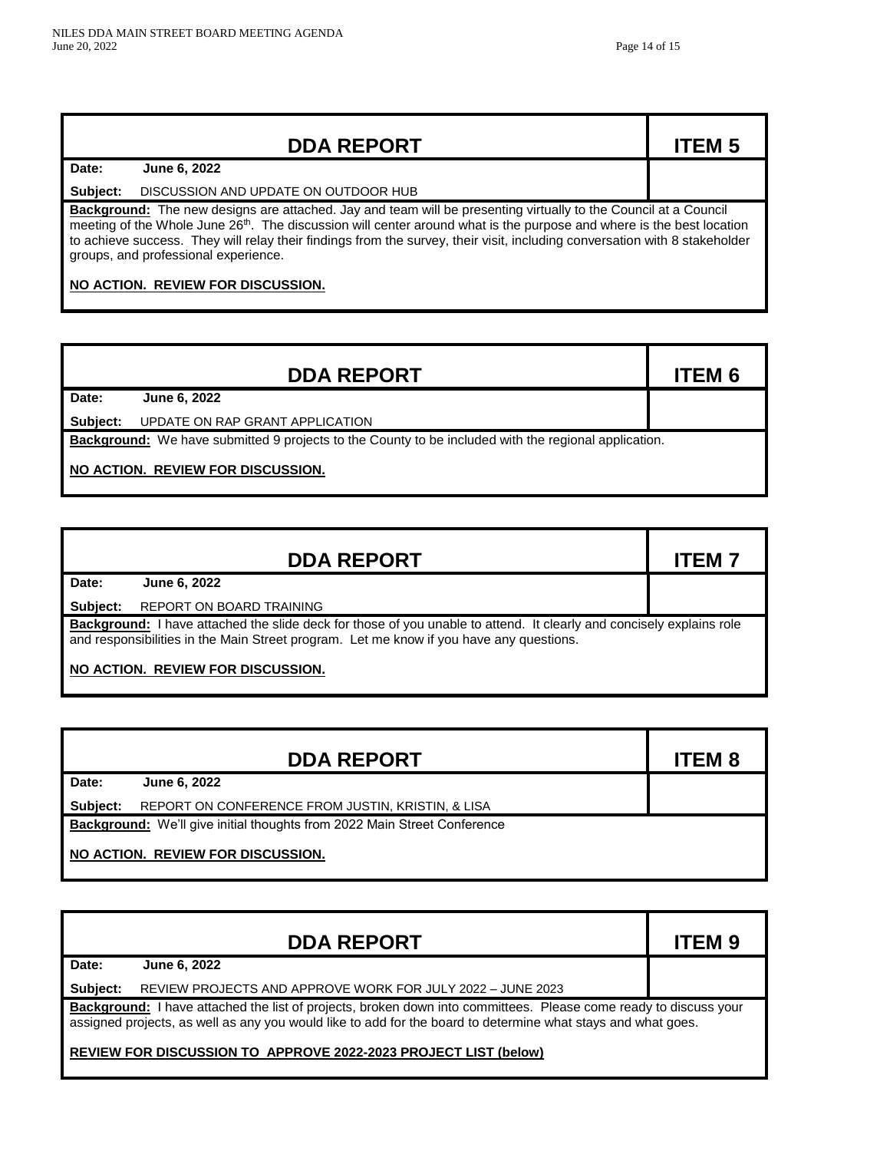|                                                                                                                                                                                                                                                                                                                                                                                                                                   | <b>DDA REPORT</b>                    | <b>ITEM 5</b> |  |
|-----------------------------------------------------------------------------------------------------------------------------------------------------------------------------------------------------------------------------------------------------------------------------------------------------------------------------------------------------------------------------------------------------------------------------------|--------------------------------------|---------------|--|
| Date:                                                                                                                                                                                                                                                                                                                                                                                                                             | June 6, 2022                         |               |  |
| Subject:                                                                                                                                                                                                                                                                                                                                                                                                                          | DISCUSSION AND UPDATE ON OUTDOOR HUB |               |  |
| <b>Background:</b> The new designs are attached. Jay and team will be presenting virtually to the Council at a Council<br>meeting of the Whole June 26 <sup>th</sup> . The discussion will center around what is the purpose and where is the best location<br>to achieve success. They will relay their findings from the survey, their visit, including conversation with 8 stakeholder<br>groups, and professional experience. |                                      |               |  |
| NO ACTION. REVIEW FOR DISCUSSION.                                                                                                                                                                                                                                                                                                                                                                                                 |                                      |               |  |

|                                                                                                             | <b>DDA REPORT</b>               | <b>ITEM 6</b> |  |  |
|-------------------------------------------------------------------------------------------------------------|---------------------------------|---------------|--|--|
| Date:                                                                                                       | June 6, 2022                    |               |  |  |
| Subject:                                                                                                    | UPDATE ON RAP GRANT APPLICATION |               |  |  |
| <b>Background:</b> We have submitted 9 projects to the County to be included with the regional application. |                                 |               |  |  |
| NO ACTION. REVIEW FOR DISCUSSION.                                                                           |                                 |               |  |  |

|                                                                                                                                                                                                                        | <b>DDA REPORT</b>               | <b>ITEM7</b> |  |
|------------------------------------------------------------------------------------------------------------------------------------------------------------------------------------------------------------------------|---------------------------------|--------------|--|
| Date:                                                                                                                                                                                                                  | June 6, 2022                    |              |  |
| Subject:                                                                                                                                                                                                               | <b>REPORT ON BOARD TRAINING</b> |              |  |
| <b>Background:</b> I have attached the slide deck for those of you unable to attend. It clearly and concisely explains role<br>and responsibilities in the Main Street program. Let me know if you have any questions. |                                 |              |  |
| NO ACTION. REVIEW FOR DISCUSSION.                                                                                                                                                                                      |                                 |              |  |

|                                                                                 | <b>DDA REPORT</b>                                 | <b>ITEM 8</b> |  |
|---------------------------------------------------------------------------------|---------------------------------------------------|---------------|--|
| Date:                                                                           | <b>June 6, 2022</b>                               |               |  |
| Subject:                                                                        | REPORT ON CONFERENCE FROM JUSTIN, KRISTIN, & LISA |               |  |
| <b>Background:</b> We'll give initial thoughts from 2022 Main Street Conference |                                                   |               |  |
| NO ACTION. REVIEW FOR DISCUSSION.                                               |                                                   |               |  |

|                                                                                                                                                                                                                                                                                                     | <b>DDA REPORT</b>                                          | <b>ITEM 9</b> |  |
|-----------------------------------------------------------------------------------------------------------------------------------------------------------------------------------------------------------------------------------------------------------------------------------------------------|------------------------------------------------------------|---------------|--|
| Date:                                                                                                                                                                                                                                                                                               | June 6, 2022                                               |               |  |
| Subject:                                                                                                                                                                                                                                                                                            | REVIEW PROJECTS AND APPROVE WORK FOR JULY 2022 - JUNE 2023 |               |  |
| Background: I have attached the list of projects, broken down into committees. Please come ready to discuss your<br>assigned projects, as well as any you would like to add for the board to determine what stays and what goes.<br>REVIEW FOR DISCUSSION TO APPROVE 2022-2023 PROJECT LIST (below) |                                                            |               |  |